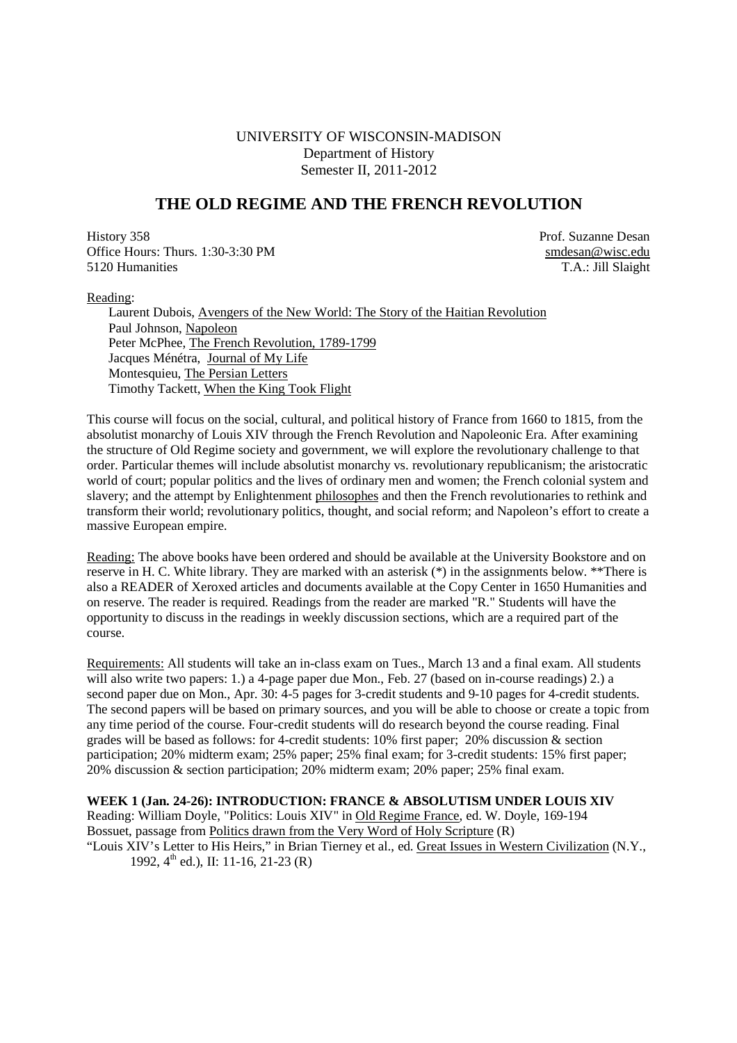# UNIVERSITY OF WISCONSIN-MADISON Department of History Semester II, 2011-2012

# **THE OLD REGIME AND THE FRENCH REVOLUTION**

History 358 Prof. Suzanne Desan Office Hours: Thurs. 1:30-3:30 PM smdesan@wisc.edu 5120 Humanities T.A.: Jill Slaight

Reading:

Laurent Dubois, Avengers of the New World: The Story of the Haitian Revolution Paul Johnson, Napoleon Peter McPhee, The French Revolution, 1789-1799 Jacques Ménétra, Journal of My Life Montesquieu, The Persian Letters Timothy Tackett, When the King Took Flight

This course will focus on the social, cultural, and political history of France from 1660 to 1815, from the absolutist monarchy of Louis XIV through the French Revolution and Napoleonic Era. After examining the structure of Old Regime society and government, we will explore the revolutionary challenge to that order. Particular themes will include absolutist monarchy vs. revolutionary republicanism; the aristocratic world of court; popular politics and the lives of ordinary men and women; the French colonial system and slavery; and the attempt by Enlightenment philosophes and then the French revolutionaries to rethink and transform their world; revolutionary politics, thought, and social reform; and Napoleon's effort to create a massive European empire.

Reading: The above books have been ordered and should be available at the University Bookstore and on reserve in H. C. White library. They are marked with an asterisk (\*) in the assignments below. \*\*There is also a READER of Xeroxed articles and documents available at the Copy Center in 1650 Humanities and on reserve. The reader is required. Readings from the reader are marked "R." Students will have the opportunity to discuss in the readings in weekly discussion sections, which are a required part of the course.

Requirements: All students will take an in-class exam on Tues., March 13 and a final exam. All students will also write two papers: 1.) a 4-page paper due Mon., Feb. 27 (based on in-course readings) 2.) a second paper due on Mon., Apr. 30: 4-5 pages for 3-credit students and 9-10 pages for 4-credit students. The second papers will be based on primary sources, and you will be able to choose or create a topic from any time period of the course. Four-credit students will do research beyond the course reading. Final grades will be based as follows: for 4-credit students: 10% first paper; 20% discussion & section participation; 20% midterm exam; 25% paper; 25% final exam; for 3-credit students: 15% first paper; 20% discussion & section participation; 20% midterm exam; 20% paper; 25% final exam.

# **WEEK 1 (Jan. 24-26): INTRODUCTION: FRANCE & ABSOLUTISM UNDER LOUIS XIV**

Reading: William Doyle, "Politics: Louis XIV" in Old Regime France, ed. W. Doyle, 169-194 Bossuet, passage from Politics drawn from the Very Word of Holy Scripture (R)

"Louis XIV's Letter to His Heirs," in Brian Tierney et al., ed. Great Issues in Western Civilization (N.Y., 1992,  $4^{\text{th}}$  ed.), II: 11-16, 21-23 (R)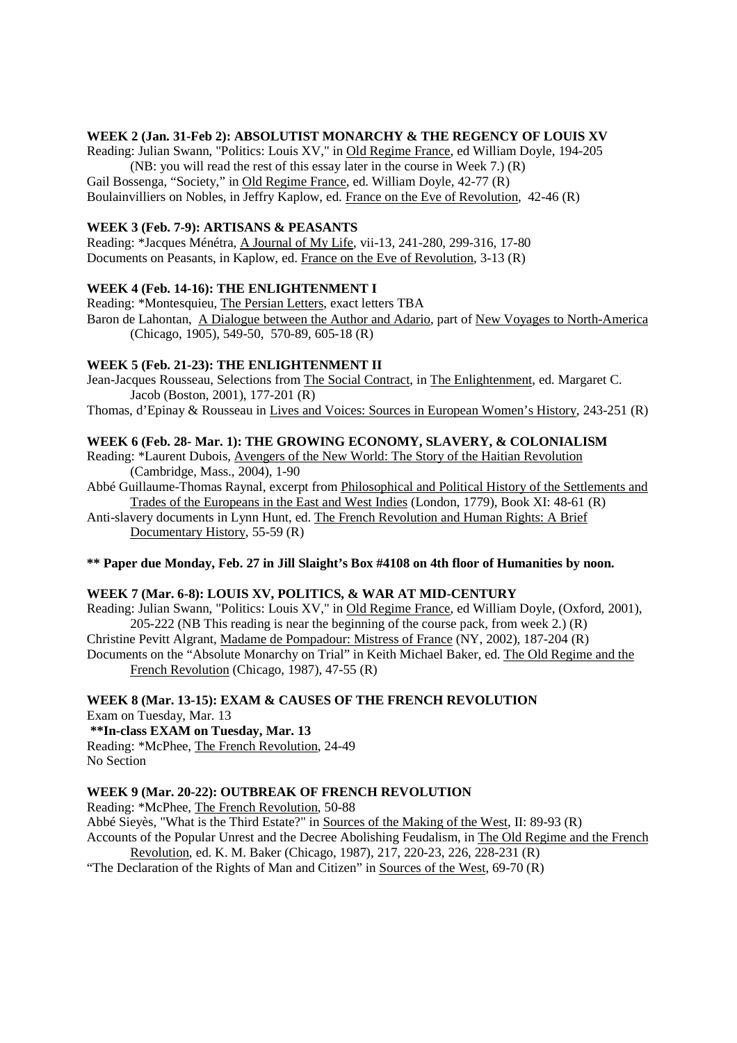#### **WEEK 2 (Jan. 31-Feb 2): ABSOLUTIST MONARCHY & THE REGENCY OF LOUIS XV**

Reading: Julian Swann, "Politics: Louis XV," in Old Regime France, ed William Doyle, 194-205 (NB: you will read the rest of this essay later in the course in Week 7.) (R) Gail Bossenga, "Society," in Old Regime France, ed. William Doyle, 42-77 (R) Boulainvilliers on Nobles, in Jeffry Kaplow, ed. France on the Eve of Revolution, 42-46 (R)

#### **WEEK 3 (Feb. 7-9): ARTISANS & PEASANTS**

Reading: \*Jacques Ménétra, A Journal of My Life, vii-13, 241-280, 299-316, 17-80 Documents on Peasants, in Kaplow, ed. France on the Eve of Revolution, 3-13 (R)

#### **WEEK 4 (Feb. 14-16): THE ENLIGHTENMENT I**

Reading: \*Montesquieu, The Persian Letters, exact letters TBA Baron de Lahontan, A Dialogue between the Author and Adario, part of New Voyages to North-America (Chicago, 1905), 549-50, 570-89, 605-18 (R)

#### **WEEK 5 (Feb. 21-23): THE ENLIGHTENMENT II**

Jean-Jacques Rousseau, Selections from The Social Contract, in The Enlightenment, ed. Margaret C. Jacob (Boston, 2001), 177-201 (R)

Thomas, d'Epinay & Rousseau in Lives and Voices: Sources in European Women's History, 243-251 (R)

### **WEEK 6 (Feb. 28- Mar. 1): THE GROWING ECONOMY, SLAVERY, & COLONIALISM**

- Reading: \*Laurent Dubois, Avengers of the New World: The Story of the Haitian Revolution (Cambridge, Mass., 2004), 1-90
- Abbé Guillaume-Thomas Raynal, excerpt from Philosophical and Political History of the Settlements and Trades of the Europeans in the East and West Indies (London, 1779), Book XI: 48-61 (R)

Anti-slavery documents in Lynn Hunt, ed. The French Revolution and Human Rights: A Brief Documentary History, 55-59 (R)

### **\*\* Paper due Monday, Feb. 27 in Jill Slaight's Box #4108 on 4th floor of Humanities by noon.**

#### **WEEK 7 (Mar. 6-8): LOUIS XV, POLITICS, & WAR AT MID-CENTURY**

Reading: Julian Swann, "Politics: Louis XV," in Old Regime France, ed William Doyle, (Oxford, 2001), 205-222 (NB This reading is near the beginning of the course pack, from week 2.) (R) Christine Pevitt Algrant, Madame de Pompadour: Mistress of France (NY, 2002), 187-204 (R) Documents on the "Absolute Monarchy on Trial" in Keith Michael Baker, ed. The Old Regime and the French Revolution (Chicago, 1987), 47-55 (R)

**WEEK 8 (Mar. 13-15): EXAM & CAUSES OF THE FRENCH REVOLUTION**  Exam on Tuesday, Mar. 13  **\*\*In-class EXAM on Tuesday, Mar. 13**  Reading: \*McPhee, The French Revolution, 24-49 No Section

### **WEEK 9 (Mar. 20-22): OUTBREAK OF FRENCH REVOLUTION**

Reading: \*McPhee, The French Revolution, 50-88

Abbé Sieyès, "What is the Third Estate?" in Sources of the Making of the West, II: 89-93 (R) Accounts of the Popular Unrest and the Decree Abolishing Feudalism, in The Old Regime and the French

Revolution, ed. K. M. Baker (Chicago, 1987), 217, 220-23, 226, 228-231 (R) "The Declaration of the Rights of Man and Citizen" in Sources of the West, 69-70 (R)